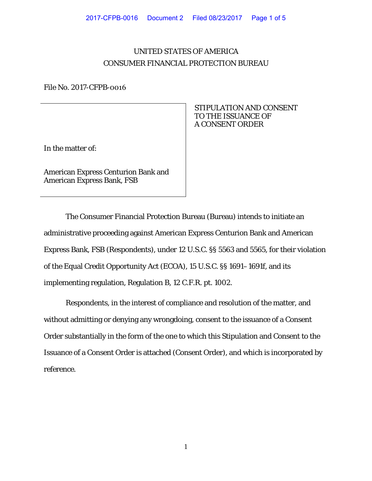## UNITED STATES OF AMERICA CONSUMER FINANCIAL PROTECTION BUREAU

File No. 2017-CFPB-0016

In the matter of:

American Express Centurion Bank and American Express Bank, FSB

 STIPULATION AND CONSENT TO THE ISSUANCE OF A CONSENT ORDER

The Consumer Financial Protection Bureau (Bureau) intends to initiate an administrative proceeding against American Express Centurion Bank and American Express Bank, FSB (Respondents), under 12 U.S.C. §§ 5563 and 5565, for their violation of the Equal Credit Opportunity Act (ECOA), 15 U.S.C. §§ 1691–1691f, and its implementing regulation, Regulation B, 12 C.F.R. pt. 1002.

Respondents, in the interest of compliance and resolution of the matter, and without admitting or denying any wrongdoing, consent to the issuance of a Consent Order substantially in the form of the one to which this Stipulation and Consent to the Issuance of a Consent Order is attached (Consent Order), and which is incorporated by reference.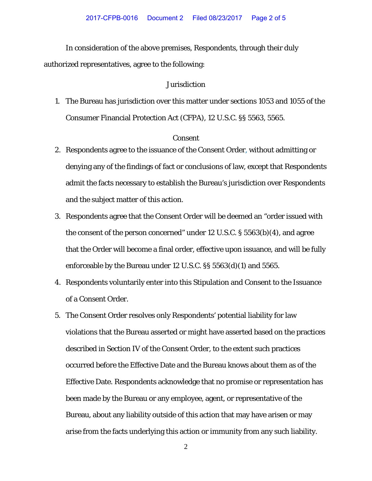In consideration of the above premises, Respondents, through their duly authorized representatives, agree to the following:

## Jurisdiction

1. The Bureau has jurisdiction over this matter under sections 1053 and 1055 of the Consumer Financial Protection Act (CFPA), 12 U.S.C. §§ 5563, 5565.

## Consent

- 2. Respondents agree to the issuance of the Consent Order, without admitting or denying any of the findings of fact or conclusions of law, except that Respondents admit the facts necessary to establish the Bureau's jurisdiction over Respondents and the subject matter of this action.
- 3. Respondents agree that the Consent Order will be deemed an "order issued with the consent of the person concerned" under 12 U.S.C. § 5563(b)(4), and agree that the Order will become a final order, effective upon issuance, and will be fully enforceable by the Bureau under 12 U.S.C. §§ 5563(d)(1) and 5565.
- 4. Respondents voluntarily enter into this Stipulation and Consent to the Issuance of a Consent Order.
- 5. The Consent Order resolves only Respondents' potential liability for law violations that the Bureau asserted or might have asserted based on the practices described in Section IV of the Consent Order, to the extent such practices occurred before the Effective Date and the Bureau knows about them as of the Effective Date. Respondents acknowledge that no promise or representation has been made by the Bureau or any employee, agent, or representative of the Bureau, about any liability outside of this action that may have arisen or may arise from the facts underlying this action or immunity from any such liability.

2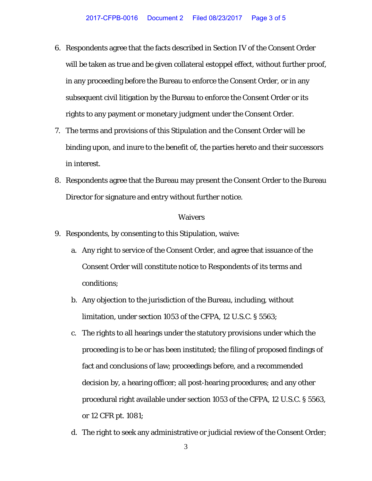- 6. Respondents agree that the facts described in Section IV of the Consent Order will be taken as true and be given collateral estoppel effect, without further proof, in any proceeding before the Bureau to enforce the Consent Order, or in any subsequent civil litigation by the Bureau to enforce the Consent Order or its rights to any payment or monetary judgment under the Consent Order.
- 7. The terms and provisions of this Stipulation and the Consent Order will be binding upon, and inure to the benefit of, the parties hereto and their successors in interest.
- 8. Respondents agree that the Bureau may present the Consent Order to the Bureau Director for signature and entry without further notice.

## Waivers

- 9. Respondents, by consenting to this Stipulation, waive:
	- a. Any right to service of the Consent Order, and agree that issuance of the Consent Order will constitute notice to Respondents of its terms and conditions;
	- b. Any objection to the jurisdiction of the Bureau, including, without limitation, under section 1053 of the CFPA, 12 U.S.C. § 5563;
	- c. The rights to all hearings under the statutory provisions under which the proceeding is to be or has been instituted; the filing of proposed findings of fact and conclusions of law; proceedings before, and a recommended decision by, a hearing officer; all post-hearing procedures; and any other procedural right available under section 1053 of the CFPA, 12 U.S.C. § 5563, or 12 CFR pt. 1081;
	- d. The right to seek any administrative or judicial review of the Consent Order;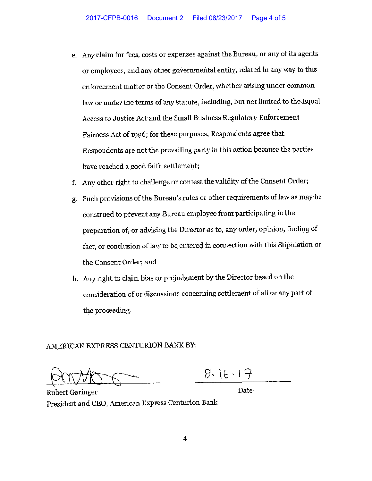- e. Any claim for fees, costs or expenses against the Bureau, or any of its agents or employees, and any other governmental entity, related in any way to this enforcement matter or the Consent Order, whether arising under common law or under the terms of any statute, including, but not limited to the Equal Access to Justice Act and the Small Business Regulatory Enforcement Fairness Act of 1996; for these purposes, Respondents agree that Respondents are not the prevailing party in this action because the parties have reached a good faith settlement;
- Any other right to challenge or contest the validity of the Consent Order; f.
- g. Such provisions of the Bureau's rules or other requirements of law as may be construed to prevent any Bureau employee from participating in the preparation of, or advising the Director as to, any order, opinion, finding of fact, or conclusion of law to be entered in connection with this Stipulation or the Consent Order; and
- h. Any right to claim bias or prejudgment by the Director based on the consideration of or discussions concerning settlement of all or any part of the proceeding.

AMERICAN EXPRESS CENTURION BANK BY:

 $8.16.17$ 

Date

**Robert Garinger** President and CEO, American Express Centurion Bank